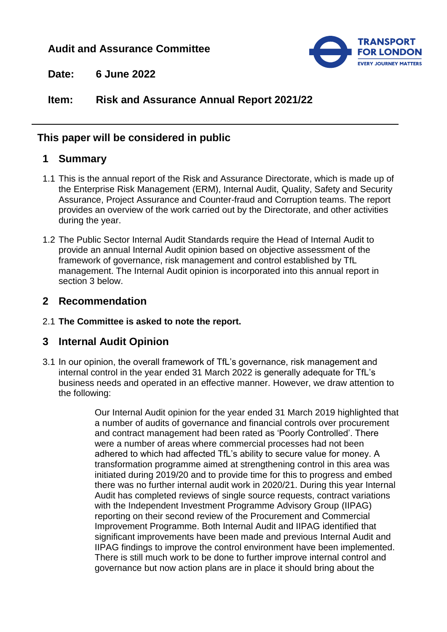# **Audit and Assurance Committee**



**Date: 6 June 2022**

# **Item: Risk and Assurance Annual Report 2021/22**

# **This paper will be considered in public**

# **1 Summary**

- 1.1 This is the annual report of the Risk and Assurance Directorate, which is made up of the Enterprise Risk Management (ERM), Internal Audit, Quality, Safety and Security Assurance, Project Assurance and Counter-fraud and Corruption teams. The report provides an overview of the work carried out by the Directorate, and other activities during the year.
- 1.2 The Public Sector Internal Audit Standards require the Head of Internal Audit to provide an annual Internal Audit opinion based on objective assessment of the framework of governance, risk management and control established by TfL management. The Internal Audit opinion is incorporated into this annual report in section 3 below.

# **2 Recommendation**

2.1 **The Committee is asked to note the report.**

# **3 Internal Audit Opinion**

3.1 In our opinion, the overall framework of TfL's governance, risk management and internal control in the year ended 31 March 2022 is generally adequate for TfL's business needs and operated in an effective manner. However, we draw attention to the following:

> Our Internal Audit opinion for the year ended 31 March 2019 highlighted that a number of audits of governance and financial controls over procurement and contract management had been rated as 'Poorly Controlled'. There were a number of areas where commercial processes had not been adhered to which had affected TfL's ability to secure value for money. A transformation programme aimed at strengthening control in this area was initiated during 2019/20 and to provide time for this to progress and embed there was no further internal audit work in 2020/21. During this year Internal Audit has completed reviews of single source requests, contract variations with the Independent Investment Programme Advisory Group (IIPAG) reporting on their second review of the Procurement and Commercial Improvement Programme. Both Internal Audit and IIPAG identified that significant improvements have been made and previous Internal Audit and IIPAG findings to improve the control environment have been implemented. There is still much work to be done to further improve internal control and governance but now action plans are in place it should bring about the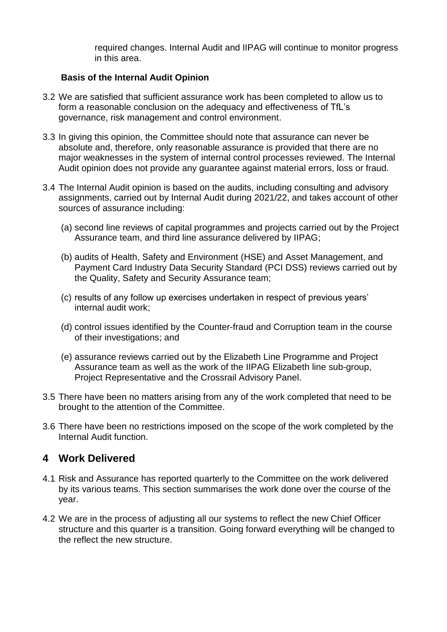required changes. Internal Audit and IIPAG will continue to monitor progress in this area.

#### **Basis of the Internal Audit Opinion**

- 3.2 We are satisfied that sufficient assurance work has been completed to allow us to form a reasonable conclusion on the adequacy and effectiveness of TfL's governance, risk management and control environment.
- 3.3 In giving this opinion, the Committee should note that assurance can never be absolute and, therefore, only reasonable assurance is provided that there are no major weaknesses in the system of internal control processes reviewed. The Internal Audit opinion does not provide any guarantee against material errors, loss or fraud.
- 3.4 The Internal Audit opinion is based on the audits, including consulting and advisory assignments, carried out by Internal Audit during 2021/22, and takes account of other sources of assurance including:
	- (a) second line reviews of capital programmes and projects carried out by the Project Assurance team, and third line assurance delivered by IIPAG;
	- (b) audits of Health, Safety and Environment (HSE) and Asset Management, and Payment Card Industry Data Security Standard (PCI DSS) reviews carried out by the Quality, Safety and Security Assurance team;
	- (c) results of any follow up exercises undertaken in respect of previous years' internal audit work;
	- (d) control issues identified by the Counter-fraud and Corruption team in the course of their investigations; and
	- (e) assurance reviews carried out by the Elizabeth Line Programme and Project Assurance team as well as the work of the IIPAG Elizabeth line sub-group, Project Representative and the Crossrail Advisory Panel.
- 3.5 There have been no matters arising from any of the work completed that need to be brought to the attention of the Committee.
- 3.6 There have been no restrictions imposed on the scope of the work completed by the Internal Audit function.

### **4 Work Delivered**

- 4.1 Risk and Assurance has reported quarterly to the Committee on the work delivered by its various teams. This section summarises the work done over the course of the year.
- 4.2 We are in the process of adjusting all our systems to reflect the new Chief Officer structure and this quarter is a transition. Going forward everything will be changed to the reflect the new structure.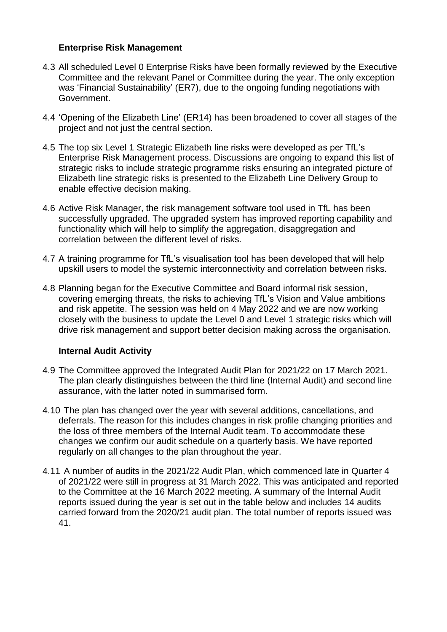#### **Enterprise Risk Management**

- 4.3 All scheduled Level 0 Enterprise Risks have been formally reviewed by the Executive Committee and the relevant Panel or Committee during the year. The only exception was 'Financial Sustainability' (ER7), due to the ongoing funding negotiations with Government.
- 4.4 'Opening of the Elizabeth Line' (ER14) has been broadened to cover all stages of the project and not just the central section.
- 4.5 The top six Level 1 Strategic Elizabeth line risks were developed as per TfL's Enterprise Risk Management process. Discussions are ongoing to expand this list of strategic risks to include strategic programme risks ensuring an integrated picture of Elizabeth line strategic risks is presented to the Elizabeth Line Delivery Group to enable effective decision making.
- 4.6 Active Risk Manager, the risk management software tool used in TfL has been successfully upgraded. The upgraded system has improved reporting capability and functionality which will help to simplify the aggregation, disaggregation and correlation between the different level of risks.
- 4.7 A training programme for TfL's visualisation tool has been developed that will help upskill users to model the systemic interconnectivity and correlation between risks.
- 4.8 Planning began for the Executive Committee and Board informal risk session, covering emerging threats, the risks to achieving TfL's Vision and Value ambitions and risk appetite. The session was held on 4 May 2022 and we are now working closely with the business to update the Level 0 and Level 1 strategic risks which will drive risk management and support better decision making across the organisation.

### **Internal Audit Activity**

- 4.9 The Committee approved the Integrated Audit Plan for 2021/22 on 17 March 2021. The plan clearly distinguishes between the third line (Internal Audit) and second line assurance, with the latter noted in summarised form.
- 4.10 The plan has changed over the year with several additions, cancellations, and deferrals. The reason for this includes changes in risk profile changing priorities and the loss of three members of the Internal Audit team. To accommodate these changes we confirm our audit schedule on a quarterly basis. We have reported regularly on all changes to the plan throughout the year.
- 4.11 A number of audits in the 2021/22 Audit Plan, which commenced late in Quarter 4 of 2021/22 were still in progress at 31 March 2022. This was anticipated and reported to the Committee at the 16 March 2022 meeting. A summary of the Internal Audit reports issued during the year is set out in the table below and includes 14 audits carried forward from the 2020/21 audit plan. The total number of reports issued was 41.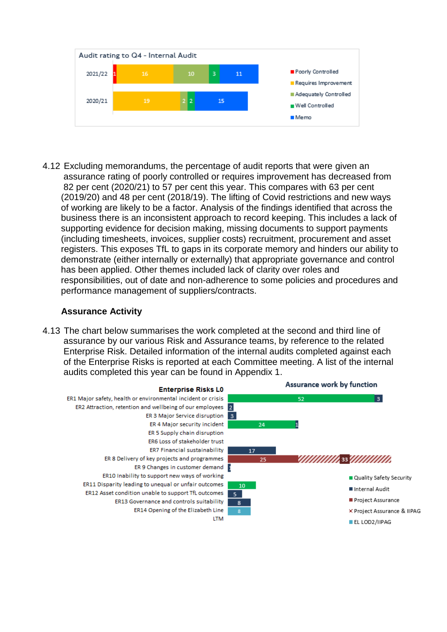

4.12 Excluding memorandums, the percentage of audit reports that were given an assurance rating of poorly controlled or requires improvement has decreased from 82 per cent (2020/21) to 57 per cent this year. This compares with 63 per cent (2019/20) and 48 per cent (2018/19). The lifting of Covid restrictions and new ways of working are likely to be a factor. Analysis of the findings identified that across the business there is an inconsistent approach to record keeping. This includes a lack of supporting evidence for decision making, missing documents to support payments (including timesheets, invoices, supplier costs) recruitment, procurement and asset registers. This exposes TfL to gaps in its corporate memory and hinders our ability to demonstrate (either internally or externally) that appropriate governance and control has been applied. Other themes included lack of clarity over roles and responsibilities, out of date and non-adherence to some policies and procedures and performance management of suppliers/contracts.

#### **Assurance Activity**

4.13 The chart below summarises the work completed at the second and third line of assurance by our various Risk and Assurance teams, by reference to the related Enterprise Risk. Detailed information of the internal audits completed against each of the Enterprise Risks is reported at each Committee meeting. A list of the internal audits completed this year can be found in Appendix 1.

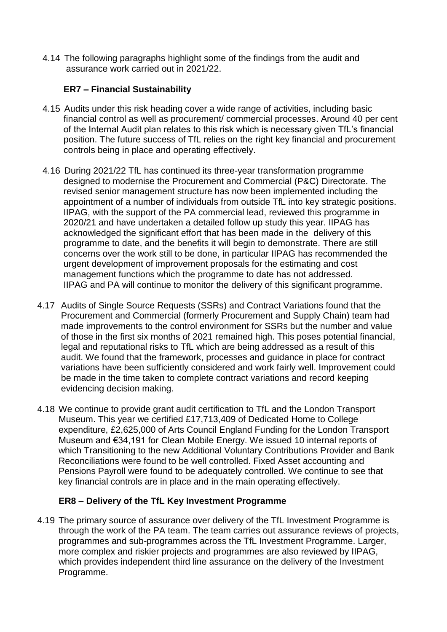4.14 The following paragraphs highlight some of the findings from the audit and assurance work carried out in 2021/22.

### **ER7 – Financial Sustainability**

- 4.15 Audits under this risk heading cover a wide range of activities, including basic financial control as well as procurement/ commercial processes. Around 40 per cent of the Internal Audit plan relates to this risk which is necessary given TfL's financial position. The future success of TfL relies on the right key financial and procurement controls being in place and operating effectively.
- 4.16 During 2021/22 TfL has continued its three-year transformation programme designed to modernise the Procurement and Commercial (P&C) Directorate. The revised senior management structure has now been implemented including the appointment of a number of individuals from outside TfL into key strategic positions. IIPAG, with the support of the PA commercial lead, reviewed this programme in 2020/21 and have undertaken a detailed follow up study this year. IIPAG has acknowledged the significant effort that has been made in the delivery of this programme to date, and the benefits it will begin to demonstrate. There are still concerns over the work still to be done, in particular IIPAG has recommended the urgent development of improvement proposals for the estimating and cost management functions which the programme to date has not addressed. IIPAG and PA will continue to monitor the delivery of this significant programme.
- 4.17 Audits of Single Source Requests (SSRs) and Contract Variations found that the Procurement and Commercial (formerly Procurement and Supply Chain) team had made improvements to the control environment for SSRs but the number and value of those in the first six months of 2021 remained high. This poses potential financial, legal and reputational risks to TfL which are being addressed as a result of this audit. We found that the framework, processes and guidance in place for contract variations have been sufficiently considered and work fairly well. Improvement could be made in the time taken to complete contract variations and record keeping evidencing decision making.
- 4.18 We continue to provide grant audit certification to TfL and the London Transport Museum. This year we certified £17,713,409 of Dedicated Home to College expenditure, £2,625,000 of Arts Council England Funding for the London Transport Museum and €34,191 for Clean Mobile Energy. We issued 10 internal reports of which Transitioning to the new Additional Voluntary Contributions Provider and Bank Reconciliations were found to be well controlled. Fixed Asset accounting and Pensions Payroll were found to be adequately controlled. We continue to see that key financial controls are in place and in the main operating effectively.

### **ER8 – Delivery of the TfL Key Investment Programme**

4.19 The primary source of assurance over delivery of the TfL Investment Programme is through the work of the PA team. The team carries out assurance reviews of projects, programmes and sub-programmes across the TfL Investment Programme. Larger, more complex and riskier projects and programmes are also reviewed by IIPAG, which provides independent third line assurance on the delivery of the Investment Programme.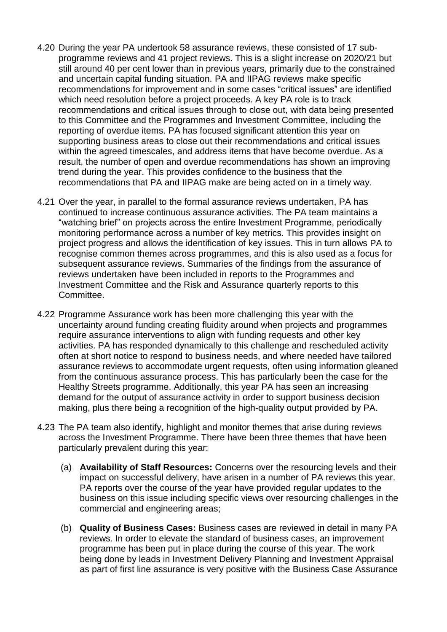- 4.20 During the year PA undertook 58 assurance reviews, these consisted of 17 subprogramme reviews and 41 project reviews. This is a slight increase on 2020/21 but still around 40 per cent lower than in previous years, primarily due to the constrained and uncertain capital funding situation. PA and IIPAG reviews make specific recommendations for improvement and in some cases "critical issues" are identified which need resolution before a project proceeds. A key PA role is to track recommendations and critical issues through to close out, with data being presented to this Committee and the Programmes and Investment Committee, including the reporting of overdue items. PA has focused significant attention this year on supporting business areas to close out their recommendations and critical issues within the agreed timescales, and address items that have become overdue. As a result, the number of open and overdue recommendations has shown an improving trend during the year. This provides confidence to the business that the recommendations that PA and IIPAG make are being acted on in a timely way.
- 4.21 Over the year, in parallel to the formal assurance reviews undertaken, PA has continued to increase continuous assurance activities. The PA team maintains a "watching brief" on projects across the entire Investment Programme, periodically monitoring performance across a number of key metrics. This provides insight on project progress and allows the identification of key issues. This in turn allows PA to recognise common themes across programmes, and this is also used as a focus for subsequent assurance reviews. Summaries of the findings from the assurance of reviews undertaken have been included in reports to the Programmes and Investment Committee and the Risk and Assurance quarterly reports to this Committee.
- 4.22 Programme Assurance work has been more challenging this year with the uncertainty around funding creating fluidity around when projects and programmes require assurance interventions to align with funding requests and other key activities. PA has responded dynamically to this challenge and rescheduled activity often at short notice to respond to business needs, and where needed have tailored assurance reviews to accommodate urgent requests, often using information gleaned from the continuous assurance process. This has particularly been the case for the Healthy Streets programme. Additionally, this year PA has seen an increasing demand for the output of assurance activity in order to support business decision making, plus there being a recognition of the high-quality output provided by PA.
- 4.23 The PA team also identify, highlight and monitor themes that arise during reviews across the Investment Programme. There have been three themes that have been particularly prevalent during this year:
	- (a) **Availability of Staff Resources:** Concerns over the resourcing levels and their impact on successful delivery, have arisen in a number of PA reviews this year. PA reports over the course of the year have provided regular updates to the business on this issue including specific views over resourcing challenges in the commercial and engineering areas;
	- (b) **Quality of Business Cases:** Business cases are reviewed in detail in many PA reviews. In order to elevate the standard of business cases, an improvement programme has been put in place during the course of this year. The work being done by leads in Investment Delivery Planning and Investment Appraisal as part of first line assurance is very positive with the Business Case Assurance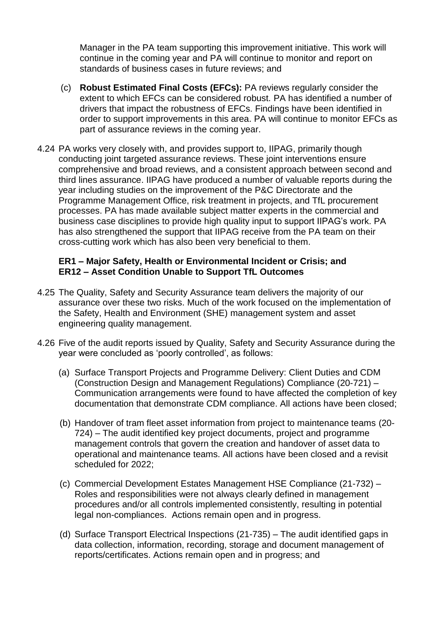Manager in the PA team supporting this improvement initiative. This work will continue in the coming year and PA will continue to monitor and report on standards of business cases in future reviews; and

- (c) **Robust Estimated Final Costs (EFCs):** PA reviews regularly consider the extent to which EFCs can be considered robust. PA has identified a number of drivers that impact the robustness of EFCs. Findings have been identified in order to support improvements in this area. PA will continue to monitor EFCs as part of assurance reviews in the coming year.
- 4.24 PA works very closely with, and provides support to, IIPAG, primarily though conducting joint targeted assurance reviews. These joint interventions ensure comprehensive and broad reviews, and a consistent approach between second and third lines assurance. IIPAG have produced a number of valuable reports during the year including studies on the improvement of the P&C Directorate and the Programme Management Office, risk treatment in projects, and TfL procurement processes. PA has made available subject matter experts in the commercial and business case disciplines to provide high quality input to support IIPAG's work. PA has also strengthened the support that IIPAG receive from the PA team on their cross-cutting work which has also been very beneficial to them.

#### **ER1 – Major Safety, Health or Environmental Incident or Crisis; and ER12 – Asset Condition Unable to Support TfL Outcomes**

- 4.25 The Quality, Safety and Security Assurance team delivers the majority of our assurance over these two risks. Much of the work focused on the implementation of the Safety, Health and Environment (SHE) management system and asset engineering quality management.
- 4.26 Five of the audit reports issued by Quality, Safety and Security Assurance during the year were concluded as 'poorly controlled', as follows:
	- (a) Surface Transport Projects and Programme Delivery: Client Duties and CDM (Construction Design and Management Regulations) Compliance (20-721) – Communication arrangements were found to have affected the completion of key documentation that demonstrate CDM compliance. All actions have been closed;
	- (b) Handover of tram fleet asset information from project to maintenance teams (20- 724) – The audit identified key project documents, project and programme management controls that govern the creation and handover of asset data to operational and maintenance teams. All actions have been closed and a revisit scheduled for 2022;
	- (c) Commercial Development Estates Management HSE Compliance (21-732) Roles and responsibilities were not always clearly defined in management procedures and/or all controls implemented consistently, resulting in potential legal non-compliances. Actions remain open and in progress.
	- (d) Surface Transport Electrical Inspections (21-735) The audit identified gaps in data collection, information, recording, storage and document management of reports/certificates. Actions remain open and in progress; and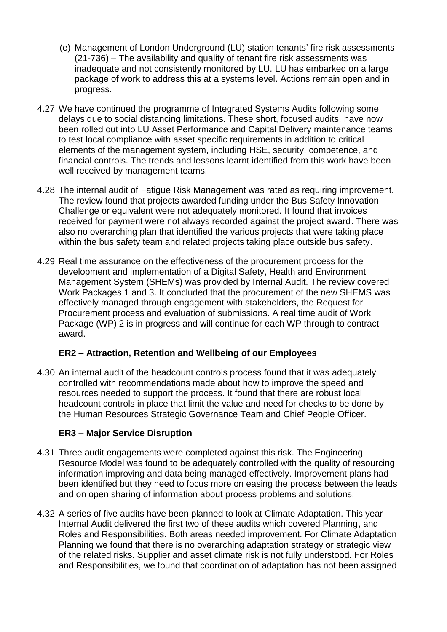- (e) Management of London Underground (LU) station tenants' fire risk assessments (21-736) – The availability and quality of tenant fire risk assessments was inadequate and not consistently monitored by LU. LU has embarked on a large package of work to address this at a systems level. Actions remain open and in progress.
- 4.27 We have continued the programme of Integrated Systems Audits following some delays due to social distancing limitations. These short, focused audits, have now been rolled out into LU Asset Performance and Capital Delivery maintenance teams to test local compliance with asset specific requirements in addition to critical elements of the management system, including HSE, security, competence, and financial controls. The trends and lessons learnt identified from this work have been well received by management teams.
- 4.28 The internal audit of Fatigue Risk Management was rated as requiring improvement. The review found that projects awarded funding under the Bus Safety Innovation Challenge or equivalent were not adequately monitored. It found that invoices received for payment were not always recorded against the project award. There was also no overarching plan that identified the various projects that were taking place within the bus safety team and related projects taking place outside bus safety.
- 4.29 Real time assurance on the effectiveness of the procurement process for the development and implementation of a Digital Safety, Health and Environment Management System (SHEMs) was provided by Internal Audit. The review covered Work Packages 1 and 3. It concluded that the procurement of the new SHEMS was effectively managed through engagement with stakeholders, the Request for Procurement process and evaluation of submissions. A real time audit of Work Package (WP) 2 is in progress and will continue for each WP through to contract award.

### **ER2 – Attraction, Retention and Wellbeing of our Employees**

4.30 An internal audit of the headcount controls process found that it was adequately controlled with recommendations made about how to improve the speed and resources needed to support the process. It found that there are robust local headcount controls in place that limit the value and need for checks to be done by the Human Resources Strategic Governance Team and Chief People Officer.

### **ER3 – Major Service Disruption**

- 4.31 Three audit engagements were completed against this risk. The Engineering Resource Model was found to be adequately controlled with the quality of resourcing information improving and data being managed effectively. Improvement plans had been identified but they need to focus more on easing the process between the leads and on open sharing of information about process problems and solutions.
- 4.32 A series of five audits have been planned to look at Climate Adaptation. This year Internal Audit delivered the first two of these audits which covered Planning, and Roles and Responsibilities. Both areas needed improvement. For Climate Adaptation Planning we found that there is no overarching adaptation strategy or strategic view of the related risks. Supplier and asset climate risk is not fully understood. For Roles and Responsibilities, we found that coordination of adaptation has not been assigned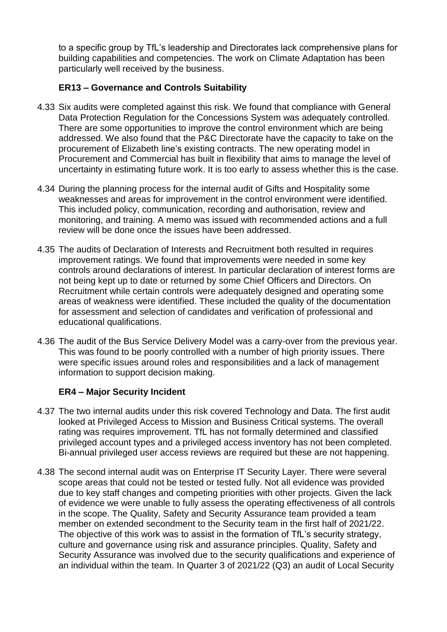to a specific group by TfL's leadership and Directorates lack comprehensive plans for building capabilities and competencies. The work on Climate Adaptation has been particularly well received by the business.

### **ER13 – Governance and Controls Suitability**

- 4.33 Six audits were completed against this risk. We found that compliance with General Data Protection Regulation for the Concessions System was adequately controlled. There are some opportunities to improve the control environment which are being addressed. We also found that the P&C Directorate have the capacity to take on the procurement of Elizabeth line's existing contracts. The new operating model in Procurement and Commercial has built in flexibility that aims to manage the level of uncertainty in estimating future work. It is too early to assess whether this is the case.
- 4.34 During the planning process for the internal audit of Gifts and Hospitality some weaknesses and areas for improvement in the control environment were identified. This included policy, communication, recording and authorisation, review and monitoring, and training. A memo was issued with recommended actions and a full review will be done once the issues have been addressed.
- 4.35 The audits of Declaration of Interests and Recruitment both resulted in requires improvement ratings. We found that improvements were needed in some key controls around declarations of interest. In particular declaration of interest forms are not being kept up to date or returned by some Chief Officers and Directors. On Recruitment while certain controls were adequately designed and operating some areas of weakness were identified. These included the quality of the documentation for assessment and selection of candidates and verification of professional and educational qualifications.
- 4.36 The audit of the Bus Service Delivery Model was a carry-over from the previous year. This was found to be poorly controlled with a number of high priority issues. There were specific issues around roles and responsibilities and a lack of management information to support decision making.

### **ER4 – Major Security Incident**

- 4.37 The two internal audits under this risk covered Technology and Data. The first audit looked at Privileged Access to Mission and Business Critical systems. The overall rating was requires improvement. TfL has not formally determined and classified privileged account types and a privileged access inventory has not been completed. Bi-annual privileged user access reviews are required but these are not happening.
- 4.38 The second internal audit was on Enterprise IT Security Layer. There were several scope areas that could not be tested or tested fully. Not all evidence was provided due to key staff changes and competing priorities with other projects. Given the lack of evidence we were unable to fully assess the operating effectiveness of all controls in the scope. The Quality, Safety and Security Assurance team provided a team member on extended secondment to the Security team in the first half of 2021/22. The objective of this work was to assist in the formation of TfL's security strategy, culture and governance using risk and assurance principles. Quality, Safety and Security Assurance was involved due to the security qualifications and experience of an individual within the team. In Quarter 3 of 2021/22 (Q3) an audit of Local Security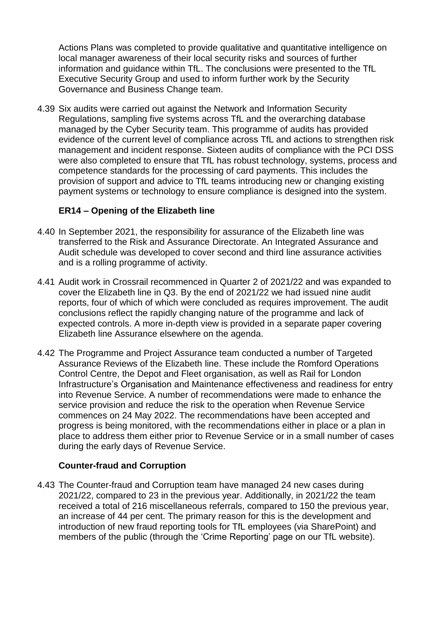Actions Plans was completed to provide qualitative and quantitative intelligence on local manager awareness of their local security risks and sources of further information and guidance within TfL. The conclusions were presented to the TfL Executive Security Group and used to inform further work by the Security Governance and Business Change team.

4.39 Six audits were carried out against the Network and Information Security Regulations, sampling five systems across TfL and the overarching database managed by the Cyber Security team. This programme of audits has provided evidence of the current level of compliance across TfL and actions to strengthen risk management and incident response. Sixteen audits of compliance with the PCI DSS were also completed to ensure that TfL has robust technology, systems, process and competence standards for the processing of card payments. This includes the provision of support and advice to TfL teams introducing new or changing existing payment systems or technology to ensure compliance is designed into the system.

### **ER14 – Opening of the Elizabeth line**

- 4.40 In September 2021, the responsibility for assurance of the Elizabeth line was transferred to the Risk and Assurance Directorate. An Integrated Assurance and Audit schedule was developed to cover second and third line assurance activities and is a rolling programme of activity.
- 4.41 Audit work in Crossrail recommenced in Quarter 2 of 2021/22 and was expanded to cover the Elizabeth line in Q3. By the end of 2021/22 we had issued nine audit reports, four of which of which were concluded as requires improvement. The audit conclusions reflect the rapidly changing nature of the programme and lack of expected controls. A more in-depth view is provided in a separate paper covering Elizabeth line Assurance elsewhere on the agenda.
- 4.42 The Programme and Project Assurance team conducted a number of Targeted Assurance Reviews of the Elizabeth line. These include the Romford Operations Control Centre, the Depot and Fleet organisation, as well as Rail for London Infrastructure's Organisation and Maintenance effectiveness and readiness for entry into Revenue Service. A number of recommendations were made to enhance the service provision and reduce the risk to the operation when Revenue Service commences on 24 May 2022. The recommendations have been accepted and progress is being monitored, with the recommendations either in place or a plan in place to address them either prior to Revenue Service or in a small number of cases during the early days of Revenue Service.

### **Counter-fraud and Corruption**

4.43 The Counter-fraud and Corruption team have managed 24 new cases during 2021/22, compared to 23 in the previous year. Additionally, in 2021/22 the team received a total of 216 miscellaneous referrals, compared to 150 the previous year, an increase of 44 per cent. The primary reason for this is the development and introduction of new fraud reporting tools for TfL employees (via SharePoint) and members of the public (through the 'Crime Reporting' page on our TfL website).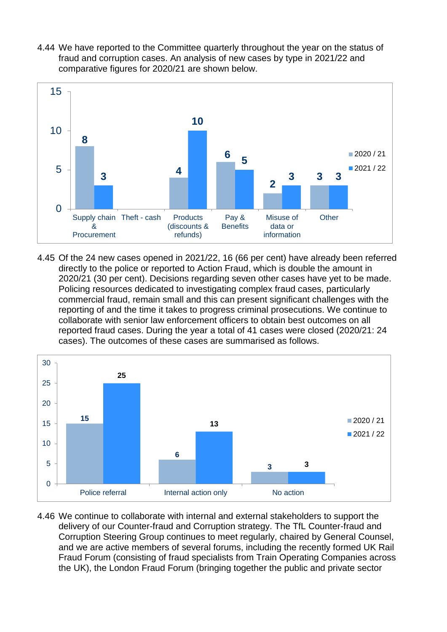4.44 We have reported to the Committee quarterly throughout the year on the status of fraud and corruption cases. An analysis of new cases by type in 2021/22 and comparative figures for 2020/21 are shown below.



4.45 Of the 24 new cases opened in 2021/22, 16 (66 per cent) have already been referred directly to the police or reported to Action Fraud, which is double the amount in 2020/21 (30 per cent). Decisions regarding seven other cases have yet to be made. Policing resources dedicated to investigating complex fraud cases, particularly commercial fraud, remain small and this can present significant challenges with the reporting of and the time it takes to progress criminal prosecutions. We continue to collaborate with senior law enforcement officers to obtain best outcomes on all reported fraud cases. During the year a total of 41 cases were closed (2020/21: 24 cases). The outcomes of these cases are summarised as follows.



4.46 We continue to collaborate with internal and external stakeholders to support the delivery of our Counter-fraud and Corruption strategy. The TfL Counter-fraud and Corruption Steering Group continues to meet regularly, chaired by General Counsel, and we are active members of several forums, including the recently formed UK Rail Fraud Forum (consisting of fraud specialists from Train Operating Companies across the UK), the London Fraud Forum (bringing together the public and private sector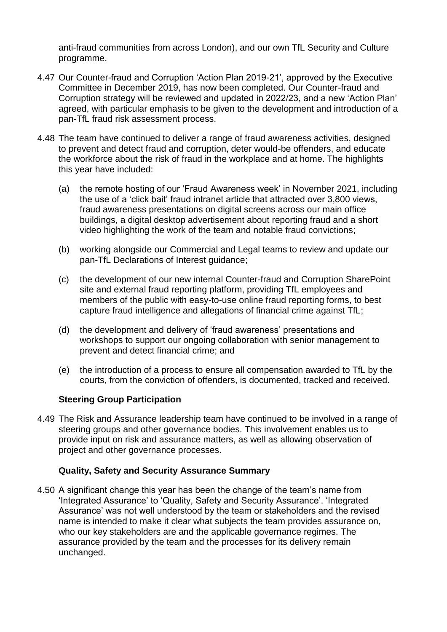anti-fraud communities from across London), and our own TfL Security and Culture programme.

- 4.47 Our Counter-fraud and Corruption 'Action Plan 2019-21', approved by the Executive Committee in December 2019, has now been completed. Our Counter-fraud and Corruption strategy will be reviewed and updated in 2022/23, and a new 'Action Plan' agreed, with particular emphasis to be given to the development and introduction of a pan-TfL fraud risk assessment process.
- 4.48 The team have continued to deliver a range of fraud awareness activities, designed to prevent and detect fraud and corruption, deter would-be offenders, and educate the workforce about the risk of fraud in the workplace and at home. The highlights this year have included:
	- (a) the remote hosting of our 'Fraud Awareness week' in November 2021, including the use of a 'click bait' fraud intranet article that attracted over 3,800 views, fraud awareness presentations on digital screens across our main office buildings, a digital desktop advertisement about reporting fraud and a short video highlighting the work of the team and notable fraud convictions;
	- (b) working alongside our Commercial and Legal teams to review and update our pan-TfL Declarations of Interest guidance;
	- (c) the development of our new internal Counter-fraud and Corruption SharePoint site and external fraud reporting platform, providing TfL employees and members of the public with easy-to-use online fraud reporting forms, to best capture fraud intelligence and allegations of financial crime against TfL;
	- (d) the development and delivery of 'fraud awareness' presentations and workshops to support our ongoing collaboration with senior management to prevent and detect financial crime; and
	- (e) the introduction of a process to ensure all compensation awarded to TfL by the courts, from the conviction of offenders, is documented, tracked and received.

### **Steering Group Participation**

4.49 The Risk and Assurance leadership team have continued to be involved in a range of steering groups and other governance bodies. This involvement enables us to provide input on risk and assurance matters, as well as allowing observation of project and other governance processes.

#### **Quality, Safety and Security Assurance Summary**

4.50 A significant change this year has been the change of the team's name from 'Integrated Assurance' to 'Quality, Safety and Security Assurance'. 'Integrated Assurance' was not well understood by the team or stakeholders and the revised name is intended to make it clear what subjects the team provides assurance on, who our key stakeholders are and the applicable governance regimes. The assurance provided by the team and the processes for its delivery remain unchanged.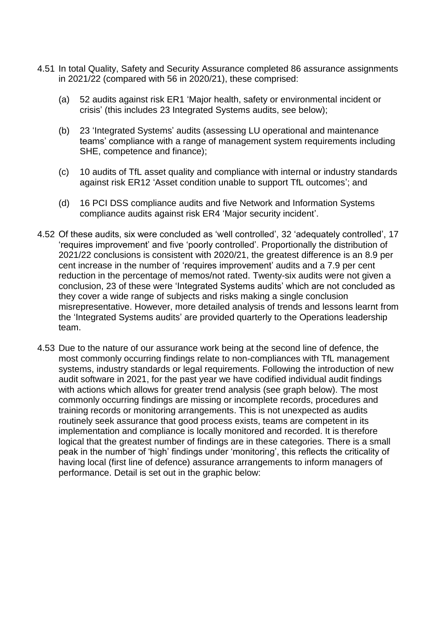- 4.51 In total Quality, Safety and Security Assurance completed 86 assurance assignments in 2021/22 (compared with 56 in 2020/21), these comprised:
	- (a) 52 audits against risk ER1 'Major health, safety or environmental incident or crisis' (this includes 23 Integrated Systems audits, see below);
	- (b) 23 'Integrated Systems' audits (assessing LU operational and maintenance teams' compliance with a range of management system requirements including SHE, competence and finance);
	- (c) 10 audits of TfL asset quality and compliance with internal or industry standards against risk ER12 'Asset condition unable to support TfL outcomes'; and
	- (d) 16 PCI DSS compliance audits and five Network and Information Systems compliance audits against risk ER4 'Major security incident'.
- 4.52 Of these audits, six were concluded as 'well controlled', 32 'adequately controlled', 17 'requires improvement' and five 'poorly controlled'. Proportionally the distribution of 2021/22 conclusions is consistent with 2020/21, the greatest difference is an 8.9 per cent increase in the number of 'requires improvement' audits and a 7.9 per cent reduction in the percentage of memos/not rated. Twenty-six audits were not given a conclusion, 23 of these were 'Integrated Systems audits' which are not concluded as they cover a wide range of subjects and risks making a single conclusion misrepresentative. However, more detailed analysis of trends and lessons learnt from the 'Integrated Systems audits' are provided quarterly to the Operations leadership team.
- 4.53 Due to the nature of our assurance work being at the second line of defence, the most commonly occurring findings relate to non-compliances with TfL management systems, industry standards or legal requirements. Following the introduction of new audit software in 2021, for the past year we have codified individual audit findings with actions which allows for greater trend analysis (see graph below). The most commonly occurring findings are missing or incomplete records, procedures and training records or monitoring arrangements. This is not unexpected as audits routinely seek assurance that good process exists, teams are competent in its implementation and compliance is locally monitored and recorded. It is therefore logical that the greatest number of findings are in these categories. There is a small peak in the number of 'high' findings under 'monitoring', this reflects the criticality of having local (first line of defence) assurance arrangements to inform managers of performance. Detail is set out in the graphic below: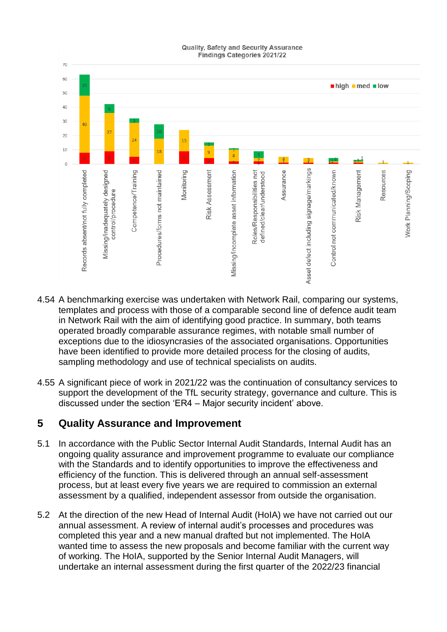

- 4.54 A benchmarking exercise was undertaken with Network Rail, comparing our systems, templates and process with those of a comparable second line of defence audit team in Network Rail with the aim of identifying good practice. In summary, both teams operated broadly comparable assurance regimes, with notable small number of exceptions due to the idiosyncrasies of the associated organisations. Opportunities have been identified to provide more detailed process for the closing of audits, sampling methodology and use of technical specialists on audits.
- 4.55 A significant piece of work in 2021/22 was the continuation of consultancy services to support the development of the TfL security strategy, governance and culture. This is discussed under the section 'ER4 – Major security incident' above.

### **5 Quality Assurance and Improvement**

- 5.1 In accordance with the Public Sector Internal Audit Standards, Internal Audit has an ongoing quality assurance and improvement programme to evaluate our compliance with the Standards and to identify opportunities to improve the effectiveness and efficiency of the function. This is delivered through an annual self-assessment process, but at least every five years we are required to commission an external assessment by a qualified, independent assessor from outside the organisation.
- 5.2 At the direction of the new Head of Internal Audit (HoIA) we have not carried out our annual assessment. A review of internal audit's processes and procedures was completed this year and a new manual drafted but not implemented. The HoIA wanted time to assess the new proposals and become familiar with the current way of working. The HoIA, supported by the Senior Internal Audit Managers, will undertake an internal assessment during the first quarter of the 2022/23 financial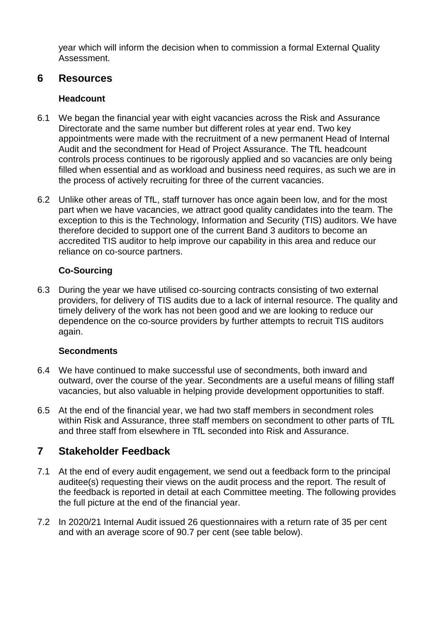year which will inform the decision when to commission a formal External Quality Assessment.

### **6 Resources**

### **Headcount**

- 6.1 We began the financial year with eight vacancies across the Risk and Assurance Directorate and the same number but different roles at year end. Two key appointments were made with the recruitment of a new permanent Head of Internal Audit and the secondment for Head of Project Assurance. The TfL headcount controls process continues to be rigorously applied and so vacancies are only being filled when essential and as workload and business need requires, as such we are in the process of actively recruiting for three of the current vacancies.
- 6.2 Unlike other areas of TfL, staff turnover has once again been low, and for the most part when we have vacancies, we attract good quality candidates into the team. The exception to this is the Technology, Information and Security (TIS) auditors. We have therefore decided to support one of the current Band 3 auditors to become an accredited TIS auditor to help improve our capability in this area and reduce our reliance on co-source partners.

### **Co-Sourcing**

6.3 During the year we have utilised co-sourcing contracts consisting of two external providers, for delivery of TIS audits due to a lack of internal resource. The quality and timely delivery of the work has not been good and we are looking to reduce our dependence on the co-source providers by further attempts to recruit TIS auditors again.

### **Secondments**

- 6.4 We have continued to make successful use of secondments, both inward and outward, over the course of the year. Secondments are a useful means of filling staff vacancies, but also valuable in helping provide development opportunities to staff.
- 6.5 At the end of the financial year, we had two staff members in secondment roles within Risk and Assurance, three staff members on secondment to other parts of TfL and three staff from elsewhere in TfL seconded into Risk and Assurance.

# **7 Stakeholder Feedback**

- 7.1 At the end of every audit engagement, we send out a feedback form to the principal auditee(s) requesting their views on the audit process and the report. The result of the feedback is reported in detail at each Committee meeting. The following provides the full picture at the end of the financial year.
- 7.2 In 2020/21 Internal Audit issued 26 questionnaires with a return rate of 35 per cent and with an average score of 90.7 per cent (see table below).